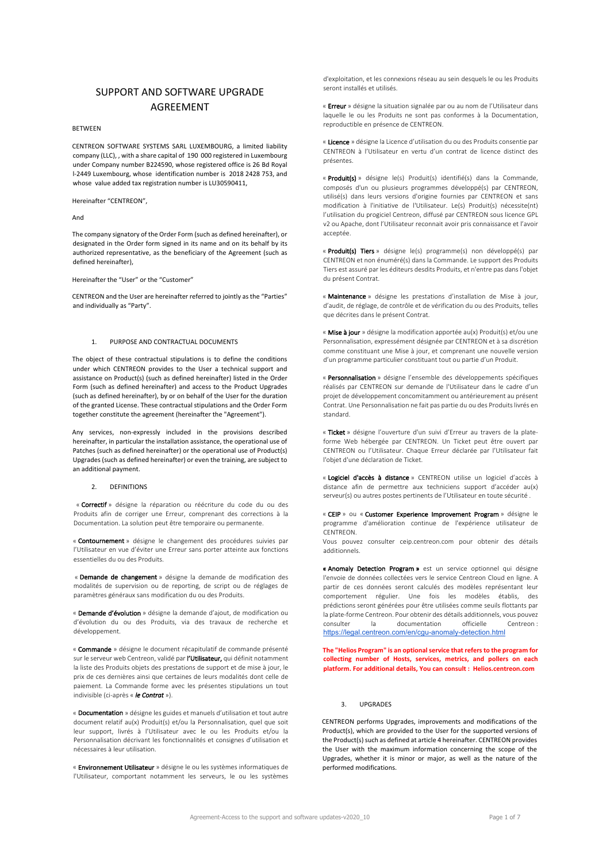# SUPPORT AND SOFTWARE UPGRADE AGREEMENT

## **BETWEEN**

CENTREON SOFTWARE SYSTEMS SARL LUXEMBOURG, a limited liability company (LLC), , with a share capital of 190 000 registered in Luxembourg under Company number B224590, whose registered office is 26 Bd Royal l-2449 Luxembourg, whose identification number is 2018 2428 753, and whose value added tax registration number is LU30590411,

Hereinafter "CENTREON",

And

The company signatory of the Order Form (such as defined hereinafter), or designated in the Order form signed in its name and on its behalf by its authorized representative, as the beneficiary of the Agreement (such as defined hereinafter),

Hereinafter the "User" or the "Customer"

CENTREON and the User are hereinafter referred to jointly as the "Parties" and individually as "Party".

### 1. PURPOSE AND CONTRACTUAL DOCUMENTS

The object of these contractual stipulations is to define the conditions under which CENTREON provides to the User a technical support and assistance on Product(s) (such as defined hereinafter) listed in the Order Form (such as defined hereinafter) and access to the Product Upgrades (such as defined hereinafter), by or on behalf of the User for the duration of the granted License. These contractual stipulations and the Order Form together constitute the agreement (hereinafter the "Agreement").

Any services, non-expressly included in the provisions described hereinafter, in particular the installation assistance, the operational use of Patches (such as defined hereinafter) or the operational use of Product(s) Upgrades (such as defined hereinafter) or even the training, are subject to an additional payment.

## 2. DEFINITIONS

« Correctif » désigne la réparation ou réécriture du code du ou des Produits afin de corriger une Erreur, comprenant des corrections à la Documentation. La solution peut être temporaire ou permanente.

« Contournement » désigne le changement des procédures suivies par l'Utilisateur en vue d'éviter une Erreur sans porter atteinte aux fonctions essentielles du ou des Produits.

« Demande de changement » désigne la demande de modification des modalités de supervision ou de reporting, de script ou de réglages de paramètres généraux sans modification du ou des Produits.

« Demande d'évolution » désigne la demande d'ajout, de modification ou d'évolution du ou des Produits, via des travaux de recherche et développement.

« Commande » désigne le document récapitulatif de commande présenté sur le serveur web Centreon, validé par l'Utilisateur, qui définit notamment la liste des Produits objets des prestations de support et de mise à jour, le prix de ces dernières ainsi que certaines de leurs modalités dont celle de paiement. La Commande forme avec les présentes stipulations un tout indivisible (ci-après « *le Contrat* »).

« Documentation » désigne les guides et manuels d'utilisation et tout autre document relatif au(x) Produit(s) et/ou la Personnalisation, quel que soit leur support, livrés à l'Utilisateur avec le ou les Produits et/ou la Personnalisation décrivant les fonctionnalités et consignes d'utilisation et nécessaires à leur utilisation.

« Environnement Utilisateur » désigne le ou les systèmes informatiques de l'Utilisateur, comportant notamment les serveurs, le ou les systèmes d'exploitation, et les connexions réseau au sein desquels le ou les Produits seront installés et utilisés.

« Erreur » désigne la situation signalée par ou au nom de l'Utilisateur dans laquelle le ou les Produits ne sont pas conformes à la Documentation, reproductible en présence de CENTREON.

« Licence » désigne la Licence d'utilisation du ou des Produits consentie par CENTREON à l'Utilisateur en vertu d'un contrat de licence distinct des présentes.

« Produit(s) » désigne le(s) Produit(s) identifié(s) dans la Commande, composés d'un ou plusieurs programmes développé(s) par CENTREON, utilisé(s) dans leurs versions d'origine fournies par CENTREON et sans modification à l'initiative de l'Utilisateur. Le(s) Produit(s) nécessite(nt) l'utilisation du progiciel Centreon, diffusé par CENTREON sous licence GPL v2 ou Apache, dont l'Utilisateur reconnait avoir pris connaissance et l'avoir acceptée.

« Produit(s) Tiers » désigne le(s) programme(s) non développé(s) par CENTREON et non énuméré(s) dans la Commande. Le support des Produits Tiers est assuré par les éditeurs desdits Produits, et n'entre pas dans l'objet du présent Contrat.

« Maintenance » désigne les prestations d'installation de Mise à jour, d'audit, de réglage, de contrôle et de vérification du ou des Produits, telles que décrites dans le présent Contrat.

« **Mise à jour** » désigne la modification apportée au(x) Produit(s) et/ou une Personnalisation, expressément désignée par CENTREON et à sa discrétion comme constituant une Mise à jour, et comprenant une nouvelle version d'un programme particulier constituant tout ou partie d'un Produit.

« Personnalisation » désigne l'ensemble des développements spécifiques réalisés par CENTREON sur demande de l'Utilisateur dans le cadre d'un projet de développement concomitamment ou antérieurement au présent Contrat. Une Personnalisation ne fait pas partie du ou des Produits livrés en standard.

« Ticket » désigne l'ouverture d'un suivi d'Erreur au travers de la plateforme Web hébergée par CENTREON. Un Ticket peut être ouvert par CENTREON ou l'Utilisateur. Chaque Erreur déclarée par l'Utilisateur fait l'objet d'une déclaration de Ticket.

« Logiciel d'accès à distance » CENTREON utilise un logiciel d'accès à distance afin de permettre aux techniciens support d'accéder au(x) serveur(s) ou autres postes pertinents de l'Utilisateur en toute sécurité .

« CEIP » ou « Customer Experience Improvement Program » désigne le programme d'amélioration continue de l'expérience utilisateur de CENTREON.

Vous pouvez consulter ceip.centreon.com pour obtenir des détails additionnels.

« Anomaly Detection Program » est un service optionnel qui désigne l'envoie de données collectées vers le service Centreon Cloud en ligne. A partir de ces données seront calculés des modèles représentant leur comportement régulier. Une fois les modèles établis, des prédictions seront générées pour être utilisées comme seuils flottants par la plate-forme Centreon. Pour obtenir des détails additionnels, vous pouvez la documentation officielle Centreon : https://legal.centreon.com/en/cgu-anomaly-detection.html

**The "Helios Program" is an optional service that refers to the program for collecting number of Hosts, services, metrics, and pollers on each platform. For additional details, You can consult : Helios.centreon.com**

#### 3. UPGRADES

CENTREON performs Upgrades, improvements and modifications of the Product(s), which are provided to the User for the supported versions of the Product(s) such as defined at article 4 hereinafter. CENTREON provides the User with the maximum information concerning the scope of the Upgrades, whether it is minor or major, as well as the nature of the performed modifications.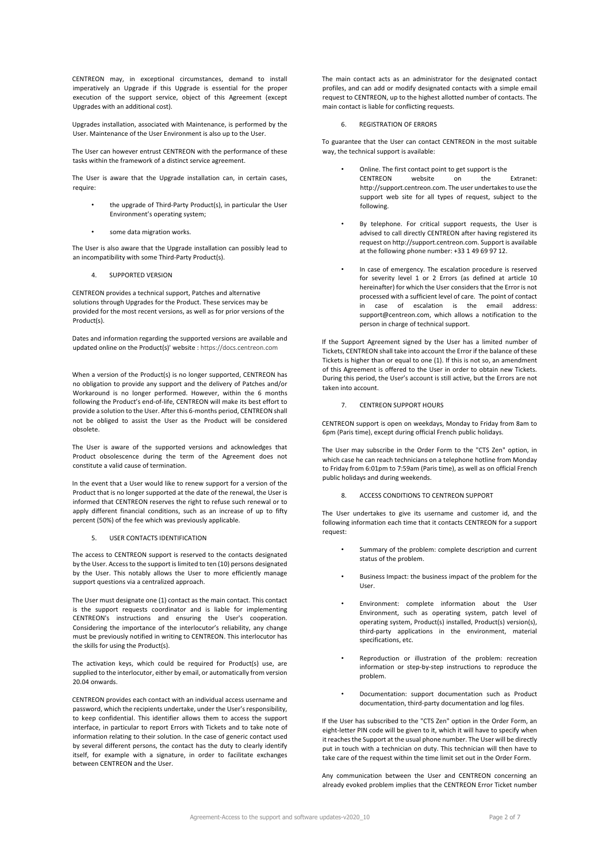CENTREON may, in exceptional circumstances, demand to install imperatively an Upgrade if this Upgrade is essential for the proper execution of the support service, object of this Agreement (except Upgrades with an additional cost).

Upgrades installation, associated with Maintenance, is performed by the User. Maintenance of the User Environment is also up to the User.

The User can however entrust CENTREON with the performance of these tasks within the framework of a distinct service agreement.

The User is aware that the Upgrade installation can, in certain cases, require:

- the upgrade of Third-Party Product(s), in particular the User Environment's operating system;
- some data migration works.

The User is also aware that the Upgrade installation can possibly lead to an incompatibility with some Third-Party Product(s).

SUPPORTED VERSION

CENTREON provides a technical support, Patches and alternative solutions through Upgrades for the Product. These services may be provided for the most recent versions, as well as for prior versions of the Product(s).

Dates and information regarding the supported versions are available and updated online on the Product(s)' website : https://docs.centreon.com

When a version of the Product(s) is no longer supported, CENTREON has no obligation to provide any support and the delivery of Patches and/or Workaround is no longer performed. However, within the 6 months following the Product's end-of-life, CENTREON will make its best effort to provide a solution to the User. After this 6-months period, CENTREON shall not be obliged to assist the User as the Product will be considered obsolete.

The User is aware of the supported versions and acknowledges that Product obsolescence during the term of the Agreement does not constitute a valid cause of termination.

In the event that a User would like to renew support for a version of the Product that is no longer supported at the date of the renewal, the User is informed that CENTREON reserves the right to refuse such renewal or to apply different financial conditions, such as an increase of up to fifty percent (50%) of the fee which was previously applicable.

## USER CONTACTS IDENTIFICATION

The access to CENTREON support is reserved to the contacts designated by the User. Access to the support is limited to ten (10) persons designated by the User. This notably allows the User to more efficiently manage support questions via a centralized approach.

The User must designate one (1) contact as the main contact. This contact is the support requests coordinator and is liable for implementing CENTREON's instructions and ensuring the User's cooperation. Considering the importance of the interlocutor's reliability, any change must be previously notified in writing to CENTREON. This interlocutor has the skills for using the Product(s).

The activation keys, which could be required for Product(s) use, are supplied to the interlocutor, either by email, or automatically from version 20.04 onwards.

CENTREON provides each contact with an individual access username and password, which the recipients undertake, under the User's responsibility, to keep confidential. This identifier allows them to access the support interface, in particular to report Errors with Tickets and to take note of information relating to their solution. In the case of generic contact used by several different persons, the contact has the duty to clearly identify itself, for example with a signature, in order to facilitate exchanges between CENTREON and the User.

The main contact acts as an administrator for the designated contact profiles, and can add or modify designated contacts with a simple email request to CENTREON, up to the highest allotted number of contacts. The main contact is liable for conflicting requests.

### REGISTRATION OF ERRORS

To guarantee that the User can contact CENTREON in the most suitable way, the technical support is available:

- Online. The first contact point to get support is the CENTREON website on the Extranet: http://support.centreon.com. The user undertakes to use the support web site for all types of request, subject to the following.
- By telephone. For critical support requests, the User is advised to call directly CENTREON after having registered its request on http://support.centreon.com. Support is available at the following phone number: +33 1 49 69 97 12.
- In case of emergency. The escalation procedure is reserved for severity level 1 or 2 Errors (as defined at article 10 hereinafter) for which the User considers that the Error is not processed with a sufficient level of care. The point of contact in case of escalation is the email address: support@centreon.com, which allows a notification to the person in charge of technical support.

If the Support Agreement signed by the User has a limited number of Tickets, CENTREON shall take into account the Error if the balance of these Tickets is higher than or equal to one (1). If this is not so, an amendment of this Agreement is offered to the User in order to obtain new Tickets. During this period, the User's account is still active, but the Errors are not taken into account.

### 7. CENTREON SUPPORT HOURS

CENTREON support is open on weekdays, Monday to Friday from 8am to 6pm (Paris time), except during official French public holidays.

The User may subscribe in the Order Form to the "CTS Zen" option, in which case he can reach technicians on a telephone hotline from Monday to Friday from 6:01pm to 7:59am (Paris time), as well as on official French public holidays and during weekends.

### 8. ACCESS CONDITIONS TO CENTREON SUPPORT

The User undertakes to give its username and customer id, and the following information each time that it contacts CENTREON for a support request:

- Summary of the problem: complete description and current status of the problem.
- Business Impact: the business impact of the problem for the User.
- Environment: complete information about the User Environment, such as operating system, patch level of operating system, Product(s) installed, Product(s) version(s), third-party applications in the environment material snecifications, etc.
- Reproduction or illustration of the problem: recreation information or step-by-step instructions to reproduce the problem.
- Documentation: support documentation such as Product documentation, third-party documentation and log files.

If the User has subscribed to the "CTS Zen" option in the Order Form, an eight-letter PIN code will be given to it, which it will have to specify when it reaches the Support at the usual phone number. The User will be directly put in touch with a technician on duty. This technician will then have to take care of the request within the time limit set out in the Order Form.

Any communication between the User and CENTREON concerning an already evoked problem implies that the CENTREON Error Ticket number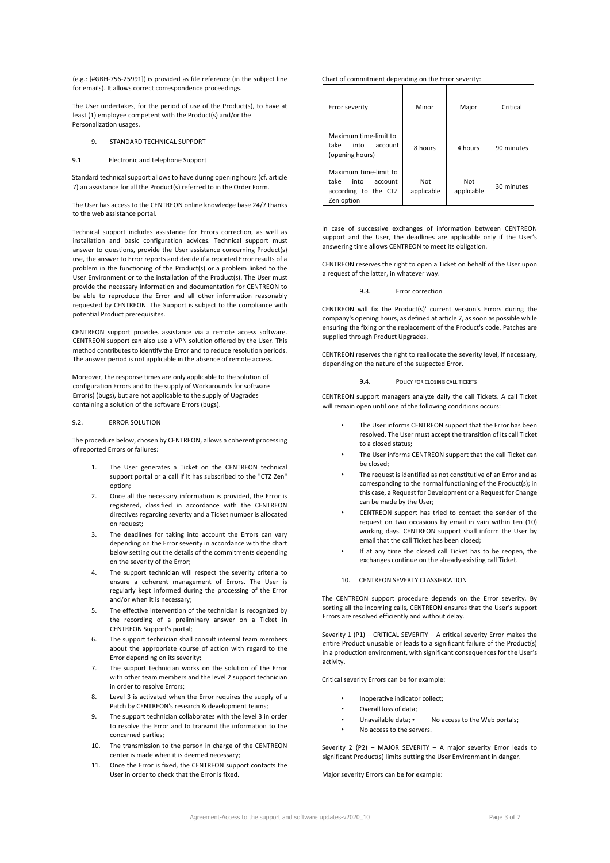(e.g.: [#GBH-756-25991]) is provided as file reference (in the subject line for emails). It allows correct correspondence proceedings.

The User undertakes, for the period of use of the Product(s), to have at least (1) employee competent with the Product(s) and/or the Personalization usages.

- 9. STANDARD TECHNICAL SUPPORT
- 9.1 Electronic and telephone Support

Standard technical support allows to have during opening hours (cf. article 7) an assistance for all the Product(s) referred to in the Order Form.

The User has access to the CENTREON online knowledge base 24/7 thanks to the web assistance portal.

Technical support includes assistance for Errors correction, as well as installation and basic configuration advices. Technical support must answer to questions, provide the User assistance concerning Product(s) use, the answer to Error reports and decide if a reported Error results of a problem in the functioning of the Product(s) or a problem linked to the User Environment or to the installation of the Product(s). The User must provide the necessary information and documentation for CENTREON to be able to reproduce the Error and all other information reasonably requested by CENTREON. The Support is subject to the compliance with potential Product prerequisites.

CENTREON support provides assistance via a remote access software. CENTREON support can also use a VPN solution offered by the User. This method contributes to identify the Error and to reduce resolution periods. The answer period is not applicable in the absence of remote access.

Moreover, the response times are only applicable to the solution of configuration Errors and to the supply of Workarounds for software Error(s) (bugs), but are not applicable to the supply of Upgrades containing a solution of the software Errors (bugs).

### 9.2. ERROR SOLUTION

The procedure below, chosen by CENTREON, allows a coherent processing of reported Errors or failures:

- 1. The User generates a Ticket on the CENTREON technical support portal or a call if it has subscribed to the "CT7 7en" option;
- 2. Once all the necessary information is provided, the Error is registered, classified in accordance with the CENTREON directives regarding severity and a Ticket number is allocated on request;
- 3. The deadlines for taking into account the Errors can vary depending on the Error severity in accordance with the chart below setting out the details of the commitments depending on the severity of the Error;
- 4. The support technician will respect the severity criteria to ensure a coherent management of Errors. The User is regularly kept informed during the processing of the Error and/or when it is necessary;
- 5. The effective intervention of the technician is recognized by the recording of a preliminary answer on a Ticket in CENTREON Support's portal;
- 6. The support technician shall consult internal team members about the appropriate course of action with regard to the Error depending on its severity;
- 7. The support technician works on the solution of the Error with other team members and the level 2 support technician in order to resolve Errors;
- 8. Level 3 is activated when the Error requires the supply of a Patch by CENTREON's research & development teams;
- 9. The support technician collaborates with the level 3 in order to resolve the Error and to transmit the information to the concerned parties;
- 10. The transmission to the person in charge of the CENTREON center is made when it is deemed necessary;
- 11. Once the Error is fixed, the CENTREON support contacts the User in order to check that the Error is fixed.

### Chart of commitment depending on the Error severity:

| Error severity                                                                         | Minor             | Major             | Critical   |
|----------------------------------------------------------------------------------------|-------------------|-------------------|------------|
| Maximum time-limit to<br>take<br>into<br>account<br>(opening hours)                    | 8 hours           | 4 hours           | 90 minutes |
| Maximum time-limit to<br>take<br>into<br>account<br>according to the CTZ<br>Zen option | Not<br>applicable | Not<br>applicable | 30 minutes |

In case of successive exchanges of information between CENTREON support and the User, the deadlines are applicable only if the User's answering time allows CENTREON to meet its obligation.

CENTREON reserves the right to open a Ticket on behalf of the User upon a request of the latter, in whatever way.

### 9.3. Error correction

CENTREON will fix the Product(s)' current version's Errors during the company's opening hours, as defined at article 7, as soon as possible while ensuring the fixing or the replacement of the Product's code. Patches are supplied through Product Upgrades.

CENTREON reserves the right to reallocate the severity level, if necessary, depending on the nature of the suspected Error.

#### 9.4. POLICY FOR CLOSING CALL TICKETS

CENTREON support managers analyze daily the call Tickets. A call Ticket will remain open until one of the following conditions occurs:

- The User informs CENTREON support that the Error has been resolved. The User must accept the transition of its call Ticket to a closed status;
- The User informs CENTREON support that the call Ticket can be closed;
- The request is identified as not constitutive of an Error and as corresponding to the normal functioning of the Product(s); in this case, a Request for Development or a Request for Change can be made by the User;
- CENTREON support has tried to contact the sender of the request on two occasions by email in vain within ten (10) working days. CENTREON support shall inform the User by email that the call Ticket has been closed;
- If at any time the closed call Ticket has to be reopen, the exchanges continue on the already-existing call Ticket.

### 10. CENTREON SEVERTY CLASSIFICATION

The CENTREON support procedure depends on the Error severity. By sorting all the incoming calls, CENTREON ensures that the User's support Errors are resolved efficiently and without delay.

Severity 1 (P1) – CRITICAL SEVERITY – A critical severity Error makes the entire Product unusable or leads to a significant failure of the Product(s) in a production environment, with significant consequences for the User's activity.

Critical severity Errors can be for example:

- Inoperative indicator collect;
- Overall loss of data;
- Unavailable data; No access to the Web portals;
- No access to the servers.

Severity 2 (P2) – MAJOR SEVERITY – A major severity Error leads to significant Product(s) limits putting the User Environment in danger.

Major severity Errors can be for example: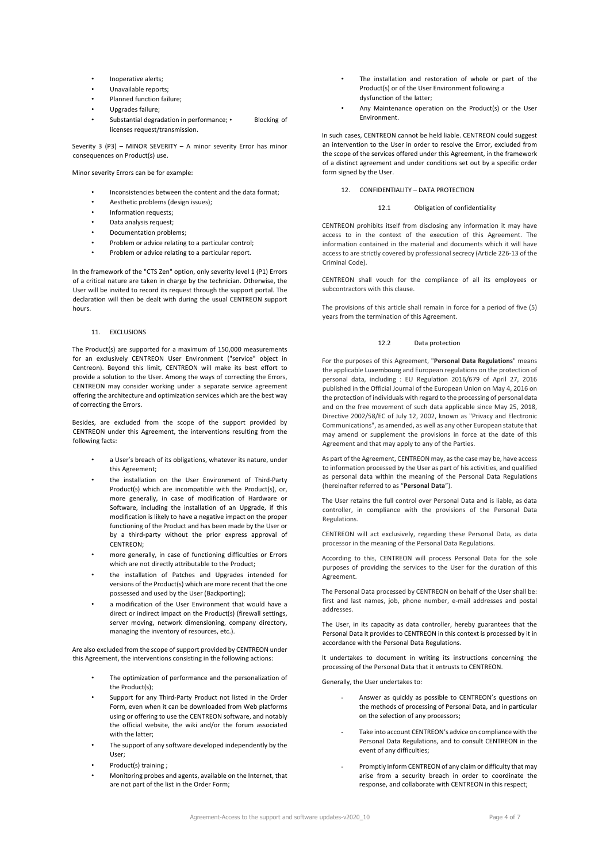- Inoperative alerts;
- Unavailable reports;
- Planned function failure;
- Upgrades failure;
- Substantial degradation in performance; Blocking of licenses request/transmission.

Severity 3 (P3) – MINOR SEVERITY – A minor severity Error has minor consequences on Product(s) use.

Minor severity Errors can be for example:

- Inconsistencies between the content and the data format;
- Aesthetic problems (design issues);
- Information requests;
- Data analysis request:
- Documentation problems;
- Problem or advice relating to a particular control;
- Problem or advice relating to a particular report.

In the framework of the "CTS Zen" option, only severity level 1 (P1) Errors of a critical nature are taken in charge by the technician. Otherwise, the User will be invited to record its request through the support portal. The declaration will then be dealt with during the usual CENTREON support hours.

## 11. EXCLUSIONS

The Product(s) are supported for a maximum of 150,000 measurements for an exclusively CENTREON User Environment ("service" object in Centreon). Beyond this limit, CENTREON will make its best effort to provide a solution to the User. Among the ways of correcting the Errors, CENTREON may consider working under a separate service agreement offering the architecture and optimization services which are the best way of correcting the Errors.

Besides, are excluded from the scope of the support provided by CENTREON under this Agreement, the interventions resulting from the following facts:

- a User's breach of its obligations, whatever its nature, under this Agreement;
- the installation on the User Environment of Third-Party Product(s) which are incompatible with the Product(s), or, more generally, in case of modification of Hardware or Software, including the installation of an Upgrade, if this modification is likely to have a negative impact on the proper functioning of the Product and has been made by the User or by a third-party without the prior express approval of **CENTREON**
- more generally, in case of functioning difficulties or Errors which are not directly attributable to the Product;
- the installation of Patches and Upgrades intended for versions of the Product(s) which are more recent that the one possessed and used by the User (Backporting);
- a modification of the User Environment that would have a direct or indirect impact on the Product(s) (firewall settings, server moving, network dimensioning, company directory, managing the inventory of resources, etc.).

Are also excluded from the scope of support provided by CENTREON under this Agreement, the interventions consisting in the following actions:

- The optimization of performance and the personalization of the Product(s);
- Support for any Third-Party Product not listed in the Order Form, even when it can be downloaded from Web platforms using or offering to use the CENTREON software, and notably the official website, the wiki and/or the forum associated with the latter;
- The support of any software developed independently by the User;
- Product(s) training ;
- Monitoring probes and agents, available on the Internet, that are not part of the list in the Order Form;
- The installation and restoration of whole or part of the Product(s) or of the User Environment following a dysfunction of the latter;
- Any Maintenance operation on the Product(s) or the User Environment.

In such cases, CENTREON cannot be held liable. CENTREON could suggest an intervention to the User in order to resolve the Error, excluded from the scope of the services offered under this Agreement, in the framework of a distinct agreement and under conditions set out by a specific order form signed by the User.

## 12. CONFIDENTIALITY – DATA PROTECTION

### 12.1 Obligation of confidentiality

CENTREON prohibits itself from disclosing any information it may have access to in the context of the execution of this Agreement. The information contained in the material and documents which it will have access to are strictly covered by professional secrecy (Article 226-13 of the Criminal Code).

CENTREON shall vouch for the compliance of all its employees or subcontractors with this clause.

The provisions of this article shall remain in force for a period of five (5) years from the termination of this Agreement.

## 12.2 Data protection

For the purposes of this Agreement, "**Personal Data Regulations**" means the applicable Luxembourg and European regulations on the protection of personal data, including : EU Regulation 2016/679 of April 27, 2016 published in the Official Journal of the European Union on May 4, 2016 on the protection of individuals with regard to the processing of personal data and on the free movement of such data applicable since May 25, 2018, Directive 2002/58/EC of July 12, 2002, known as "Privacy and Electronic Communications", as amended, as well as any other European statute that may amend or supplement the provisions in force at the date of this Agreement and that may apply to any of the Parties.

As part of the Agreement, CENTREON may, as the case may be, have access to information processed by the User as part of his activities, and qualified as personal data within the meaning of the Personal Data Regulations (hereinafter referred to as "**Personal Data**").

The User retains the full control over Personal Data and is liable, as data controller, in compliance with the provisions of the Personal Data Regulations.

CENTREON will act exclusively, regarding these Personal Data, as data processor in the meaning of the Personal Data Regulations.

According to this, CENTREON will process Personal Data for the sole purposes of providing the services to the User for the duration of this Agreement.

The Personal Data processed by CENTREON on behalf of the User shall be: first and last names, job, phone number, e-mail addresses and postal addresses.

The User, in its capacity as data controller, hereby guarantees that the Personal Data it provides to CENTREON in this context is processed by it in accordance with the Personal Data Regulations.

It undertakes to document in writing its instructions concerning the processing of the Personal Data that it entrusts to CENTREON.

Generally, the User undertakes to:

- Answer as quickly as possible to CENTREON's questions on the methods of processing of Personal Data, and in particular on the selection of any processors;
- Take into account CENTREON's advice on compliance with the Personal Data Regulations, and to consult CENTREON in the event of any difficulties;
- Promptly inform CENTREON of any claim or difficulty that may arise from a security breach in order to coordinate the response, and collaborate with CENTREON in this respect;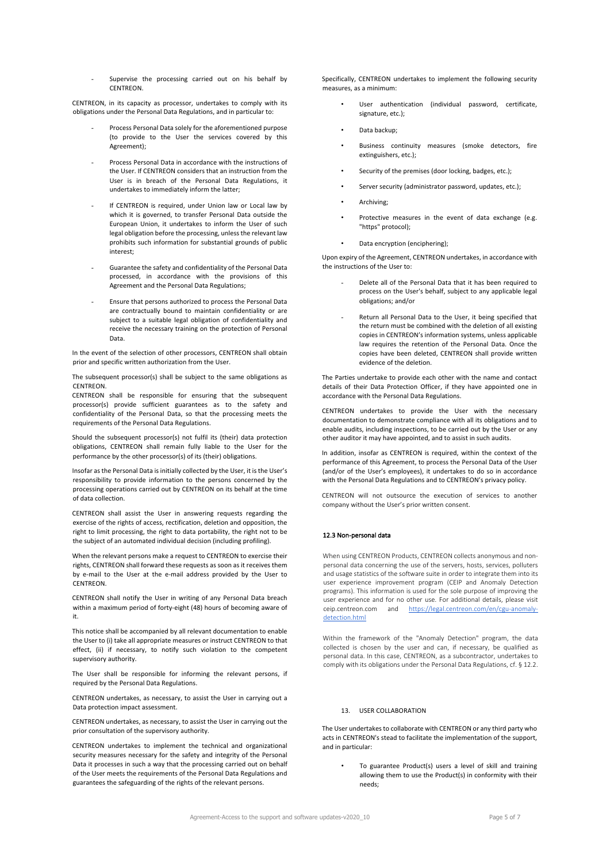Supervise the processing carried out on his behalf by **CENTREON** 

CENTREON, in its capacity as processor, undertakes to comply with its obligations under the Personal Data Regulations, and in particular to:

- Process Personal Data solely for the aforementioned purpose (to provide to the User the services covered by this Agreement);
- Process Personal Data in accordance with the instructions of the User. If CENTREON considers that an instruction from the User is in breach of the Personal Data Regulations, it undertakes to immediately inform the latter;
- If CENTREON is required, under Union law or Local law by which it is governed, to transfer Personal Data outside the European Union, it undertakes to inform the User of such legal obligation before the processing, unless the relevant law prohibits such information for substantial grounds of public interest;
- Guarantee the safety and confidentiality of the Personal Data processed, in accordance with the provisions of this Agreement and the Personal Data Regulations;
- Ensure that persons authorized to process the Personal Data are contractually bound to maintain confidentiality or are subject to a suitable legal obligation of confidentiality and receive the necessary training on the protection of Personal Data.

In the event of the selection of other processors, CENTREON shall obtain prior and specific written authorization from the User.

The subsequent processor(s) shall be subject to the same obligations as **CENTREON** 

CENTREON shall be responsible for ensuring that the subsequent processor(s) provide sufficient guarantees as to the safety and confidentiality of the Personal Data, so that the processing meets the requirements of the Personal Data Regulations.

Should the subsequent processor(s) not fulfil its (their) data protection obligations, CENTREON shall remain fully liable to the User for the performance by the other processor(s) of its (their) obligations.

Insofar as the Personal Data is initially collected by the User, it is the User's responsibility to provide information to the persons concerned by the processing operations carried out by CENTREON on its behalf at the time of data collection.

CENTREON shall assist the User in answering requests regarding the exercise of the rights of access, rectification, deletion and opposition, the right to limit processing, the right to data portability, the right not to be the subject of an automated individual decision (including profiling).

When the relevant persons make a request to CENTREON to exercise their rights, CENTREON shall forward these requests as soon as it receives them by e-mail to the User at the e-mail address provided by the User to **CENTREON** 

CENTREON shall notify the User in writing of any Personal Data breach within a maximum period of forty-eight (48) hours of becoming aware of it.

This notice shall be accompanied by all relevant documentation to enable the User to (i) take all appropriate measures or instruct CENTREON to that effect, (ii) if necessary, to notify such violation to the competent supervisory authority.

The User shall be responsible for informing the relevant persons, if required by the Personal Data Regulations.

CENTREON undertakes, as necessary, to assist the User in carrying out a Data protection impact assessment.

CENTREON undertakes, as necessary, to assist the User in carrying out the prior consultation of the supervisory authority.

CENTREON undertakes to implement the technical and organizational security measures necessary for the safety and integrity of the Personal Data it processes in such a way that the processing carried out on behalf of the User meets the requirements of the Personal Data Regulations and guarantees the safeguarding of the rights of the relevant persons.

Specifically, CENTREON undertakes to implement the following security measures, as a minimum:

- User authentication (individual password, certificate, signature, etc.);
- Data backup;
- Business continuity measures (smoke detectors, fire extinguishers, etc.);
- Security of the premises (door locking, badges, etc.);
- Server security (administrator password, updates, etc.);
- Archiving;
- Protective measures in the event of data exchange (e.g. "https" protocol);
- Data encryption (enciphering);

Upon expiry of the Agreement, CENTREON undertakes, in accordance with the instructions of the User to:

- Delete all of the Personal Data that it has been required to process on the User's behalf, subject to any applicable legal obligations; and/or
- Return all Personal Data to the User, it being specified that the return must be combined with the deletion of all existing copies in CENTREON's information systems, unless applicable law requires the retention of the Personal Data. Once the copies have been deleted, CENTREON shall provide written evidence of the deletion.

The Parties undertake to provide each other with the name and contact details of their Data Protection Officer, if they have appointed one in accordance with the Personal Data Regulations.

CENTREON undertakes to provide the User with the necessary documentation to demonstrate compliance with all its obligations and to enable audits, including inspections, to be carried out by the User or any other auditor it may have appointed, and to assist in such audits.

In addition, insofar as CENTREON is required, within the context of the performance of this Agreement, to process the Personal Data of the User (and/or of the User's employees), it undertakes to do so in accordance with the Personal Data Regulations and to CENTREON's privacy policy.

CENTREON will not outsource the execution of services to another company without the User's prior written consent.

## 12.3 Non-personal data

When using CENTREON Products, CENTREON collects anonymous and nonpersonal data concerning the use of the servers, hosts, services, polluters and usage statistics of the software suite in order to integrate them into its user experience improvement program (CEIP and Anomaly Detection programs). This information is used for the sole purpose of improving the user experience and for no other use. For additional details, please visit ceip.centreon.com and https://legal.centreon.com/en/cgu-anomalydetection.html

Within the framework of the "Anomaly Detection" program, the data collected is chosen by the user and can, if necessary, be qualified as personal data. In this case, CENTREON, as a subcontractor, undertakes to comply with its obligations under the Personal Data Regulations, cf. § 12.2.

## 13. USER COLLABORATION

The User undertakes to collaborate with CENTREON or any third party who acts in CENTREON's stead to facilitate the implementation of the support, and in particular:

> • To guarantee Product(s) users a level of skill and training allowing them to use the Product(s) in conformity with their needs;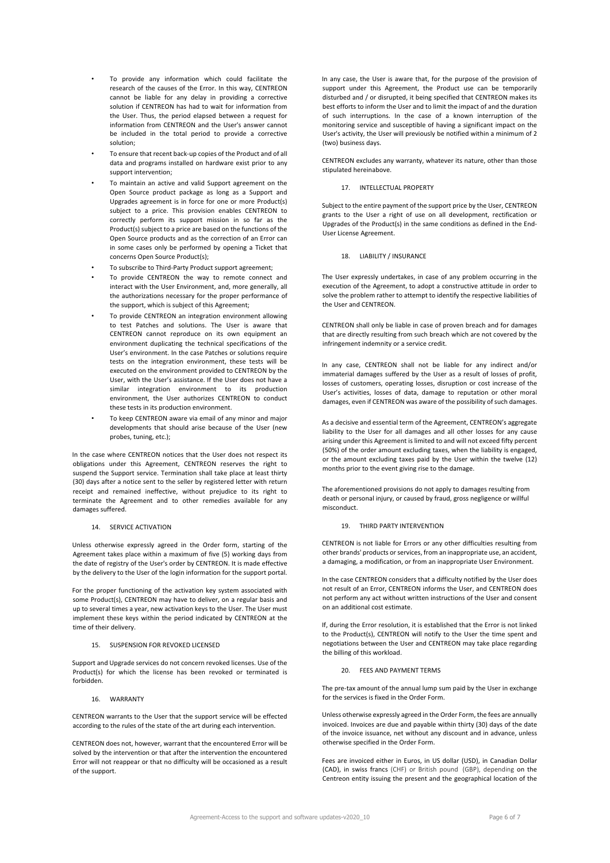- To provide any information which could facilitate the research of the causes of the Error. In this way, CENTREON cannot be liable for any delay in providing a corrective solution if CENTREON has had to wait for information from the User. Thus, the period elapsed between a request for information from CENTREON and the User's answer cannot be included in the total period to provide a corrective solution;
- To ensure that recent back-up copies of the Product and of all data and programs installed on hardware exist prior to any support intervention;
- To maintain an active and valid Support agreement on the Open Source product package as long as a Support and Upgrades agreement is in force for one or more Product(s) subject to a price. This provision enables CENTREON to correctly perform its support mission in so far as the Product(s) subject to a price are based on the functions of the Open Source products and as the correction of an Error can in some cases only be performed by opening a Ticket that concerns Open Source Product(s);
- To subscribe to Third-Party Product support agreement;
- To provide CENTREON the way to remote connect and interact with the User Environment, and, more generally, all the authorizations necessary for the proper performance of the support, which is subject of this Agreement;
- To provide CENTREON an integration environment allowing to test Patches and solutions. The User is aware that CENTREON cannot reproduce on its own equipment an environment duplicating the technical specifications of the User's environment. In the case Patches or solutions require tests on the integration environment, these tests will be executed on the environment provided to CENTREON by the User, with the User's assistance. If the User does not have a similar integration environment to its production environment, the User authorizes CENTREON to conduct these tests in its production environment.
- To keep CENTREON aware via email of any minor and major developments that should arise because of the User (new probes, tuning, etc.);

In the case where CENTREON notices that the User does not respect its obligations under this Agreement, CENTREON reserves the right to suspend the Support service. Termination shall take place at least thirty (30) days after a notice sent to the seller by registered letter with return receipt and remained ineffective, without prejudice to its right to terminate the Agreement and to other remedies available for any damages suffered.

### 14. SERVICE ACTIVATION

Unless otherwise expressly agreed in the Order form, starting of the Agreement takes place within a maximum of five (5) working days from the date of registry of the User's order by CENTREON. It is made effective by the delivery to the User of the login information for the support portal.

For the proper functioning of the activation key system associated with some Product(s), CENTREON may have to deliver, on a regular basis and up to several times a year, new activation keys to the User. The User must implement these keys within the period indicated by CENTREON at the time of their delivery.

#### SUSPENSION FOR REVOKED LICENSED

Support and Upgrade services do not concern revoked licenses. Use of the Product(s) for which the license has been revoked or terminated is forbidden.

## 16. WARRANTY

CENTREON warrants to the User that the support service will be effected according to the rules of the state of the art during each intervention.

CENTREON does not, however, warrant that the encountered Error will be solved by the intervention or that after the intervention the encountered Error will not reappear or that no difficulty will be occasioned as a result of the support.

In any case, the User is aware that, for the purpose of the provision of support under this Agreement, the Product use can be temporarily disturbed and / or disrupted, it being specified that CENTREON makes its best efforts to inform the User and to limit the impact of and the duration of such interruptions. In the case of a known interruption of the monitoring service and susceptible of having a significant impact on the User's activity, the User will previously be notified within a minimum of 2 (two) business days.

CENTREON excludes any warranty, whatever its nature, other than those stipulated hereinabove.

## 17. INTELLECTUAL PROPERTY

Subject to the entire payment of the support price by the User, CENTREON grants to the User a right of use on all development, rectification or Upgrades of the Product(s) in the same conditions as defined in the End-User License Agreement.

### 18. LIABILITY / INSURANCE

The User expressly undertakes, in case of any problem occurring in the execution of the Agreement, to adopt a constructive attitude in order to solve the problem rather to attempt to identify the respective liabilities of the User and CENTREON.

CENTREON shall only be liable in case of proven breach and for damages that are directly resulting from such breach which are not covered by the infringement indemnity or a service credit.

In any case, CENTREON shall not be liable for any indirect and/or immaterial damages suffered by the User as a result of losses of profit, losses of customers, operating losses, disruption or cost increase of the User's activities, losses of data, damage to reputation or other moral damages, even if CENTREON was aware of the possibility of such damages.

As a decisive and essential term of the Agreement, CENTREON's aggregate liability to the User for all damages and all other losses for any cause arising under this Agreement is limited to and will not exceed fifty percent (50%) of the order amount excluding taxes, when the liability is engaged, or the amount excluding taxes paid by the User within the twelve (12) months prior to the event giving rise to the damage.

The aforementioned provisions do not apply to damages resulting from death or personal injury, or caused by fraud, gross negligence or willful misconduct.

#### 19. THIRD PARTY INTERVENTION

CENTREON is not liable for Errors or any other difficulties resulting from other brands' products or services, from an inappropriate use, an accident, a damaging, a modification, or from an inappropriate User Environment.

In the case CENTREON considers that a difficulty notified by the User does not result of an Error, CENTREON informs the User, and CENTREON does not perform any act without written instructions of the User and consent on an additional cost estimate.

If, during the Error resolution, it is established that the Error is not linked to the Product(s), CENTREON will notify to the User the time spent and negotiations between the User and CENTREON may take place regarding the billing of this workload.

## 20. FEES AND PAYMENT TERMS

The pre-tax amount of the annual lump sum paid by the User in exchange for the services is fixed in the Order Form.

Unless otherwise expressly agreed in the Order Form, the fees are annually invoiced. Invoices are due and payable within thirty (30) days of the date of the invoice issuance, net without any discount and in advance, unless otherwise specified in the Order Form.

Fees are invoiced either in Euros, in US dollar (USD), in Canadian Dollar (CAD), in swiss francs (CHF) or British pound (GBP), depending on the Centreon entity issuing the present and the geographical location of the